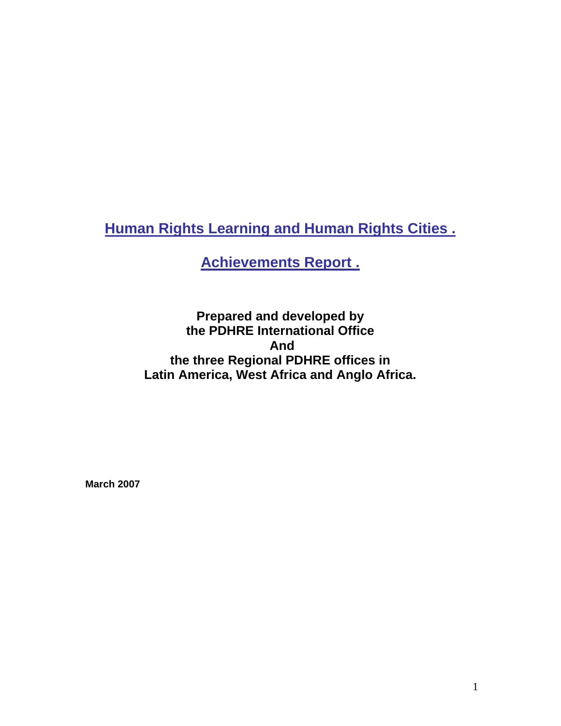**Human Rights Learning and Human Rights Cities .**

**Achievements Report .**

**Prepared and developed by the PDHRE International Office And the three Regional PDHRE offices in Latin America, West Africa and Anglo Africa.** 

 **March 2007**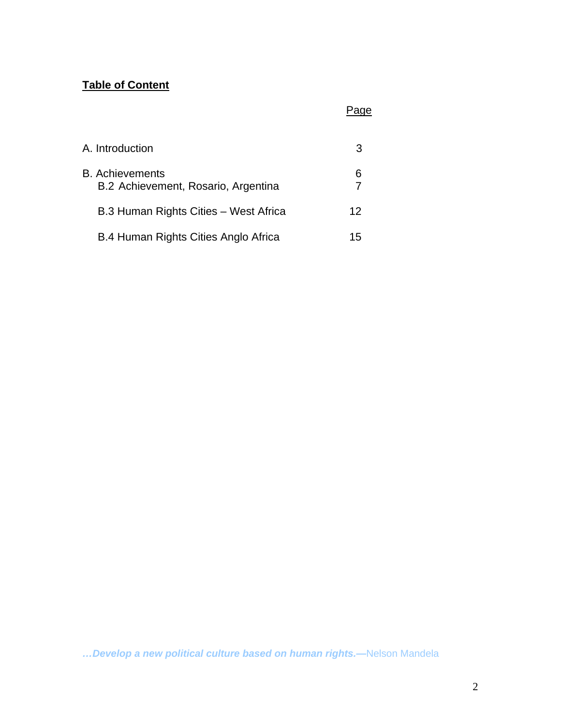# **Table of Content**

# <u>Page State Communication of the State Communication of the State Communication of</u>

| A. Introduction                                               | 3  |
|---------------------------------------------------------------|----|
| <b>B.</b> Achievements<br>B.2 Achievement, Rosario, Argentina | 6  |
| B.3 Human Rights Cities - West Africa                         | 12 |
| B.4 Human Rights Cities Anglo Africa                          | 15 |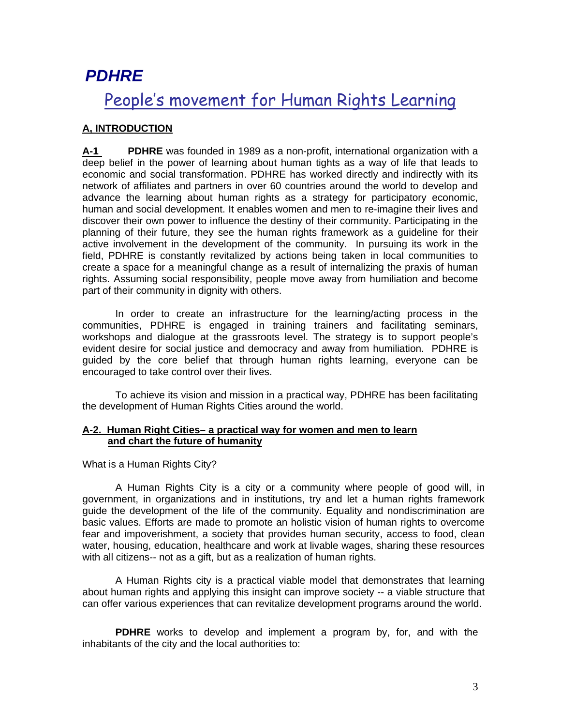# *PDHRE*

# People's movement for Human Rights Learning

# **A, INTRODUCTION**

**A-1 PDHRE** was founded in 1989 as a non-profit, international organization with a deep belief in the power of learning about human tights as a way of life that leads to economic and social transformation. PDHRE has worked directly and indirectly with its network of affiliates and partners in over 60 countries around the world to develop and advance the learning about human rights as a strategy for participatory economic, human and social development. It enables women and men to re-imagine their lives and discover their own power to influence the destiny of their community. Participating in the planning of their future, they see the human rights framework as a guideline for their active involvement in the development of the community. In pursuing its work in the field, PDHRE is constantly revitalized by actions being taken in local communities to create a space for a meaningful change as a result of internalizing the praxis of human rights. Assuming social responsibility, people move away from humiliation and become part of their community in dignity with others.

 In order to create an infrastructure for the learning/acting process in the communities, PDHRE is engaged in training trainers and facilitating seminars, workshops and dialogue at the grassroots level. The strategy is to support people's evident desire for social justice and democracy and away from humiliation. PDHRE is guided by the core belief that through human rights learning, everyone can be encouraged to take control over their lives.

 To achieve its vision and mission in a practical way, PDHRE has been facilitating the development of Human Rights Cities around the world.

## **A-2. Human Right Cities– a practical way for women and men to learn and chart the future of humanity**

What is a Human Rights City?

 A Human Rights City is a city or a community where people of good will, in government, in organizations and in institutions, try and let a human rights framework guide the development of the life of the community. Equality and nondiscrimination are basic values. Efforts are made to promote an holistic vision of human rights to overcome fear and impoverishment, a society that provides human security, access to food, clean water, housing, education, healthcare and work at livable wages, sharing these resources with all citizens-- not as a gift, but as a realization of human rights.

 A Human Rights city is a practical viable model that demonstrates that learning about human rights and applying this insight can improve society -- a viable structure that can offer various experiences that can revitalize development programs around the world.

**PDHRE** works to develop and implement a program by, for, and with the inhabitants of the city and the local authorities to: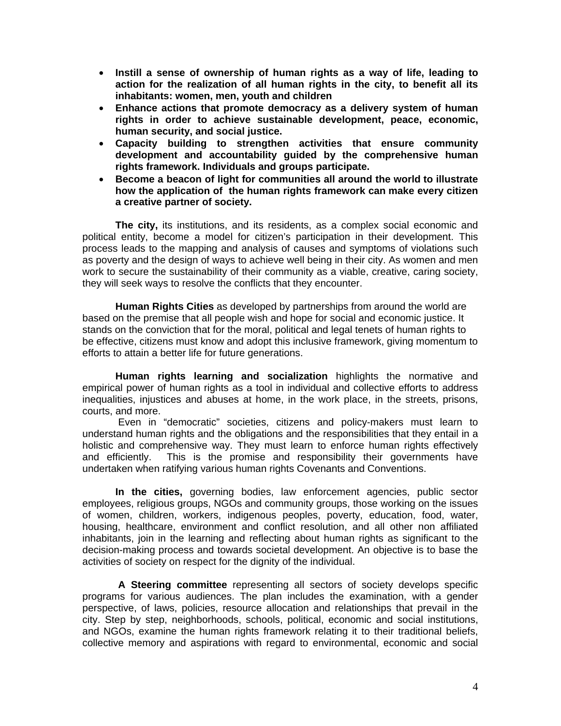- **Instill a sense of ownership of human rights as a way of life, leading to action for the realization of all human rights in the city, to benefit all its inhabitants: women, men, youth and children**
- **Enhance actions that promote democracy as a delivery system of human rights in order to achieve sustainable development, peace, economic, human security, and social justice.**
- **Capacity building to strengthen activities that ensure community development and accountability guided by the comprehensive human rights framework. Individuals and groups participate.**
- **Become a beacon of light for communities all around the world to illustrate how the application of the human rights framework can make every citizen a creative partner of society.**

**The city,** its institutions, and its residents, as a complex social economic and political entity, become a model for citizen's participation in their development. This process leads to the mapping and analysis of causes and symptoms of violations such as poverty and the design of ways to achieve well being in their city. As women and men work to secure the sustainability of their community as a viable, creative, caring society, they will seek ways to resolve the conflicts that they encounter.

**Human Rights Cities** as developed by partnerships from around the world are based on the premise that all people wish and hope for social and economic justice. It stands on the conviction that for the moral, political and legal tenets of human rights to be effective, citizens must know and adopt this inclusive framework, giving momentum to efforts to attain a better life for future generations.

**Human rights learning and socialization** highlights the normative and empirical power of human rights as a tool in individual and collective efforts to address inequalities, injustices and abuses at home, in the work place, in the streets, prisons, courts, and more.

 Even in "democratic" societies, citizens and policy-makers must learn to understand human rights and the obligations and the responsibilities that they entail in a holistic and comprehensive way. They must learn to enforce human rights effectively and efficiently. This is the promise and responsibility their governments have undertaken when ratifying various human rights Covenants and Conventions.

**In the cities,** governing bodies, law enforcement agencies, public sector employees, religious groups, NGOs and community groups, those working on the issues of women, children, workers, indigenous peoples, poverty, education, food, water, housing, healthcare, environment and conflict resolution, and all other non affiliated inhabitants, join in the learning and reflecting about human rights as significant to the decision-making process and towards societal development. An objective is to base the activities of society on respect for the dignity of the individual.

 **A Steering committee** representing all sectors of society develops specific programs for various audiences. The plan includes the examination, with a gender perspective, of laws, policies, resource allocation and relationships that prevail in the city. Step by step, neighborhoods, schools, political, economic and social institutions, and NGOs, examine the human rights framework relating it to their traditional beliefs, collective memory and aspirations with regard to environmental, economic and social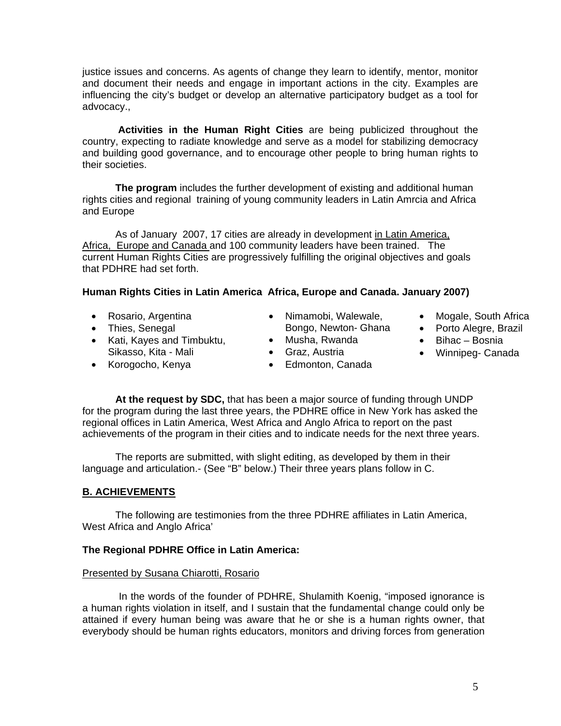justice issues and concerns. As agents of change they learn to identify, mentor, monitor and document their needs and engage in important actions in the city. Examples are influencing the city's budget or develop an alternative participatory budget as a tool for advocacy.,

**Activities in the Human Right Cities** are being publicized throughout the country, expecting to radiate knowledge and serve as a model for stabilizing democracy and building good governance, and to encourage other people to bring human rights to their societies.

**The program** includes the further development of existing and additional human rights cities and regional training of young community leaders in Latin Amrcia and Africa and Europe

 As of January 2007, 17 cities are already in development in Latin America, Africa, Europe and Canada and 100 community leaders have been trained. The current Human Rights Cities are progressively fulfilling the original objectives and goals that PDHRE had set forth.

## **Human Rights Cities in Latin America Africa, Europe and Canada. January 2007)**

- Rosario, Argentina
- Thies, Senegal
- Kati, Kayes and Timbuktu, Sikasso, Kita - Mali
- Korogocho, Kenya
- Nimamobi, Walewale, Bongo, Newton- Ghana
- Musha, Rwanda
	- Graz, Austria
- Edmonton, Canada
- Mogale, South Africa
- Porto Alegre, Brazil
- Bihac Bosnia
- Winnipeg- Canada

**At the request by SDC,** that has been a major source of funding through UNDP for the program during the last three years, the PDHRE office in New York has asked the regional offices in Latin America, West Africa and Anglo Africa to report on the past achievements of the program in their cities and to indicate needs for the next three years.

 The reports are submitted, with slight editing, as developed by them in their language and articulation.- (See "B" below.) Their three years plans follow in C.

## **B. ACHIEVEMENTS**

 The following are testimonies from the three PDHRE affiliates in Latin America, West Africa and Anglo Africa'

## **The Regional PDHRE Office in Latin America:**

#### Presented by Susana Chiarotti, Rosario

 In the words of the founder of PDHRE, Shulamith Koenig, "imposed ignorance is a human rights violation in itself, and I sustain that the fundamental change could only be attained if every human being was aware that he or she is a human rights owner, that everybody should be human rights educators, monitors and driving forces from generation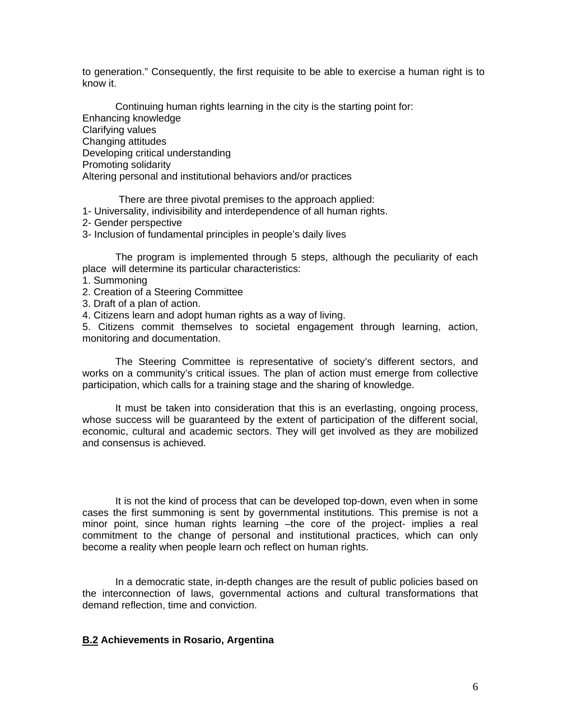to generation." Consequently, the first requisite to be able to exercise a human right is to know it.

 Continuing human rights learning in the city is the starting point for: Enhancing knowledge Clarifying values Changing attitudes Developing critical understanding Promoting solidarity Altering personal and institutional behaviors and/or practices

There are three pivotal premises to the approach applied:

- 1- Universality, indivisibility and interdependence of all human rights.
- 2- Gender perspective
- 3- Inclusion of fundamental principles in people's daily lives

 The program is implemented through 5 steps, although the peculiarity of each place will determine its particular characteristics:

- 1. Summoning
- 2. Creation of a Steering Committee
- 3. Draft of a plan of action.
- 4. Citizens learn and adopt human rights as a way of living.

5. Citizens commit themselves to societal engagement through learning, action, monitoring and documentation.

 The Steering Committee is representative of society's different sectors, and works on a community's critical issues. The plan of action must emerge from collective participation, which calls for a training stage and the sharing of knowledge.

 It must be taken into consideration that this is an everlasting, ongoing process, whose success will be guaranteed by the extent of participation of the different social, economic, cultural and academic sectors. They will get involved as they are mobilized and consensus is achieved.

 It is not the kind of process that can be developed top-down, even when in some cases the first summoning is sent by governmental institutions. This premise is not a minor point, since human rights learning –the core of the project- implies a real commitment to the change of personal and institutional practices, which can only become a reality when people learn och reflect on human rights.

 In a democratic state, in-depth changes are the result of public policies based on the interconnection of laws, governmental actions and cultural transformations that demand reflection, time and conviction.

#### **B.2 Achievements in Rosario, Argentina**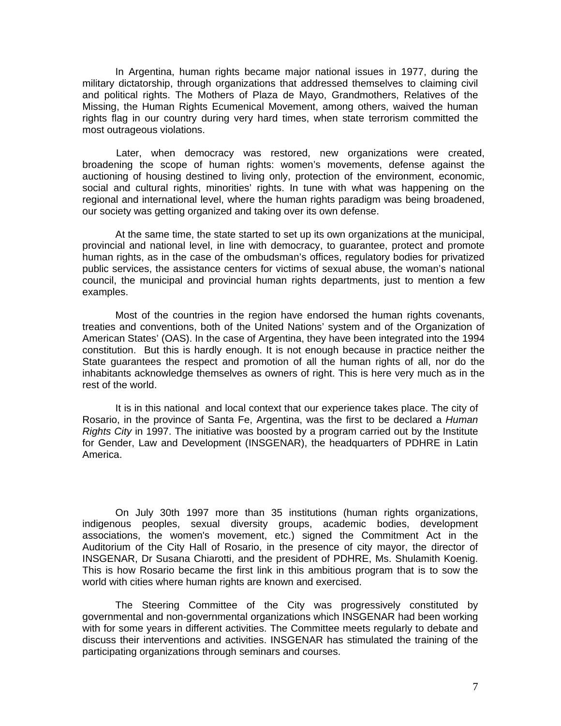In Argentina, human rights became major national issues in 1977, during the military dictatorship, through organizations that addressed themselves to claiming civil and political rights. The Mothers of Plaza de Mayo, Grandmothers, Relatives of the Missing, the Human Rights Ecumenical Movement, among others, waived the human rights flag in our country during very hard times, when state terrorism committed the most outrageous violations.

 Later, when democracy was restored, new organizations were created, broadening the scope of human rights: women's movements, defense against the auctioning of housing destined to living only, protection of the environment, economic, social and cultural rights, minorities' rights. In tune with what was happening on the regional and international level, where the human rights paradigm was being broadened, our society was getting organized and taking over its own defense.

 At the same time, the state started to set up its own organizations at the municipal, provincial and national level, in line with democracy, to guarantee, protect and promote human rights, as in the case of the ombudsman's offices, regulatory bodies for privatized public services, the assistance centers for victims of sexual abuse, the woman's national council, the municipal and provincial human rights departments, just to mention a few examples.

 Most of the countries in the region have endorsed the human rights covenants, treaties and conventions, both of the United Nations' system and of the Organization of American States' (OAS). In the case of Argentina, they have been integrated into the 1994 constitution. But this is hardly enough. It is not enough because in practice neither the State guarantees the respect and promotion of all the human rights of all, nor do the inhabitants acknowledge themselves as owners of right. This is here very much as in the rest of the world.

 It is in this national and local context that our experience takes place. The city of Rosario, in the province of Santa Fe, Argentina, was the first to be declared a *Human Rights City* in 1997. The initiative was boosted by a program carried out by the Institute for Gender, Law and Development (INSGENAR), the headquarters of PDHRE in Latin America.

 On July 30th 1997 more than 35 institutions (human rights organizations, indigenous peoples, sexual diversity groups, academic bodies, development associations, the women's movement, etc.) signed the Commitment Act in the Auditorium of the City Hall of Rosario, in the presence of city mayor, the director of INSGENAR, Dr Susana Chiarotti, and the president of PDHRE, Ms. Shulamith Koenig. This is how Rosario became the first link in this ambitious program that is to sow the world with cities where human rights are known and exercised.

 The Steering Committee of the City was progressively constituted by governmental and non-governmental organizations which INSGENAR had been working with for some years in different activities. The Committee meets regularly to debate and discuss their interventions and activities. INSGENAR has stimulated the training of the participating organizations through seminars and courses.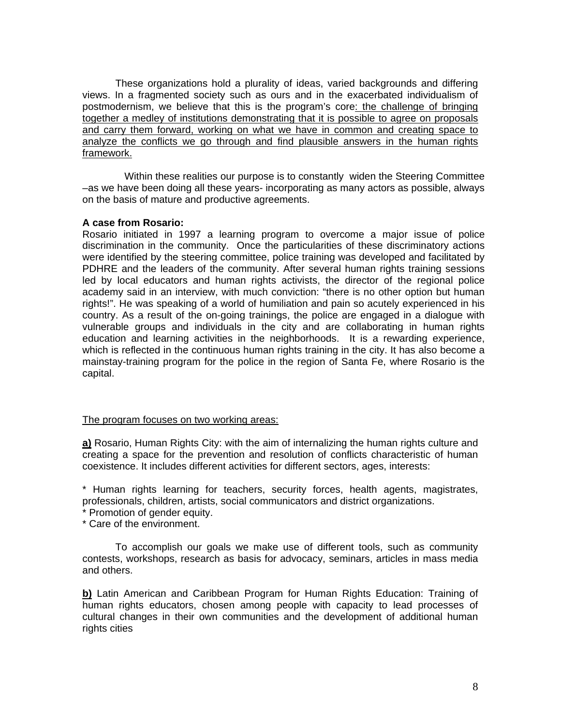These organizations hold a plurality of ideas, varied backgrounds and differing views. In a fragmented society such as ours and in the exacerbated individualism of postmodernism, we believe that this is the program's core: the challenge of bringing together a medley of institutions demonstrating that it is possible to agree on proposals and carry them forward, working on what we have in common and creating space to analyze the conflicts we go through and find plausible answers in the human rights framework.

Within these realities our purpose is to constantly widen the Steering Committee –as we have been doing all these years- incorporating as many actors as possible, always on the basis of mature and productive agreements.

#### **A case from Rosario:**

Rosario initiated in 1997 a learning program to overcome a major issue of police discrimination in the community. Once the particularities of these discriminatory actions were identified by the steering committee, police training was developed and facilitated by PDHRE and the leaders of the community. After several human rights training sessions led by local educators and human rights activists, the director of the regional police academy said in an interview, with much conviction: "there is no other option but human rights!". He was speaking of a world of humiliation and pain so acutely experienced in his country. As a result of the on-going trainings, the police are engaged in a dialogue with vulnerable groups and individuals in the city and are collaborating in human rights education and learning activities in the neighborhoods. It is a rewarding experience, which is reflected in the continuous human rights training in the city. It has also become a mainstay-training program for the police in the region of Santa Fe, where Rosario is the capital.

#### The program focuses on two working areas:

**a)** Rosario, Human Rights City: with the aim of internalizing the human rights culture and creating a space for the prevention and resolution of conflicts characteristic of human coexistence. It includes different activities for different sectors, ages, interests:

\* Human rights learning for teachers, security forces, health agents, magistrates, professionals, children, artists, social communicators and district organizations.

\* Promotion of gender equity.

\* Care of the environment.

 To accomplish our goals we make use of different tools, such as community contests, workshops, research as basis for advocacy, seminars, articles in mass media and others.

**b)** Latin American and Caribbean Program for Human Rights Education: Training of human rights educators, chosen among people with capacity to lead processes of cultural changes in their own communities and the development of additional human rights cities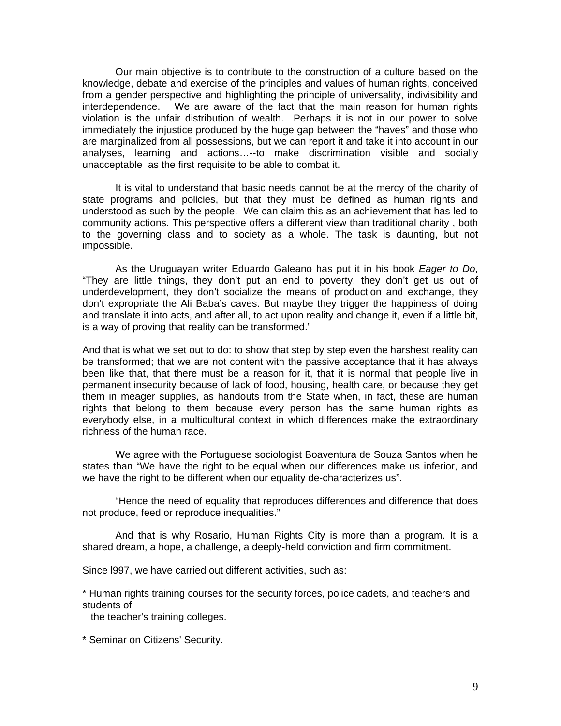Our main objective is to contribute to the construction of a culture based on the knowledge, debate and exercise of the principles and values of human rights, conceived from a gender perspective and highlighting the principle of universality, indivisibility and interdependence. We are aware of the fact that the main reason for human rights violation is the unfair distribution of wealth. Perhaps it is not in our power to solve immediately the injustice produced by the huge gap between the "haves" and those who are marginalized from all possessions, but we can report it and take it into account in our analyses, learning and actions…--to make discrimination visible and socially unacceptable as the first requisite to be able to combat it.

 It is vital to understand that basic needs cannot be at the mercy of the charity of state programs and policies, but that they must be defined as human rights and understood as such by the people. We can claim this as an achievement that has led to community actions. This perspective offers a different view than traditional charity , both to the governing class and to society as a whole. The task is daunting, but not impossible.

 As the Uruguayan writer Eduardo Galeano has put it in his book *Eager to Do*, "They are little things, they don't put an end to poverty, they don't get us out of underdevelopment, they don't socialize the means of production and exchange, they don't expropriate the Ali Baba's caves. But maybe they trigger the happiness of doing and translate it into acts, and after all, to act upon reality and change it, even if a little bit, is a way of proving that reality can be transformed."

And that is what we set out to do: to show that step by step even the harshest reality can be transformed; that we are not content with the passive acceptance that it has always been like that, that there must be a reason for it, that it is normal that people live in permanent insecurity because of lack of food, housing, health care, or because they get them in meager supplies, as handouts from the State when, in fact, these are human rights that belong to them because every person has the same human rights as everybody else, in a multicultural context in which differences make the extraordinary richness of the human race.

 We agree with the Portuguese sociologist Boaventura de Souza Santos when he states than "We have the right to be equal when our differences make us inferior, and we have the right to be different when our equality de-characterizes us".

 "Hence the need of equality that reproduces differences and difference that does not produce, feed or reproduce inequalities."

 And that is why Rosario, Human Rights City is more than a program. It is a shared dream, a hope, a challenge, a deeply-held conviction and firm commitment.

Since l997, we have carried out different activities, such as:

\* Human rights training courses for the security forces, police cadets, and teachers and students of

the teacher's training colleges.

\* Seminar on Citizens' Security.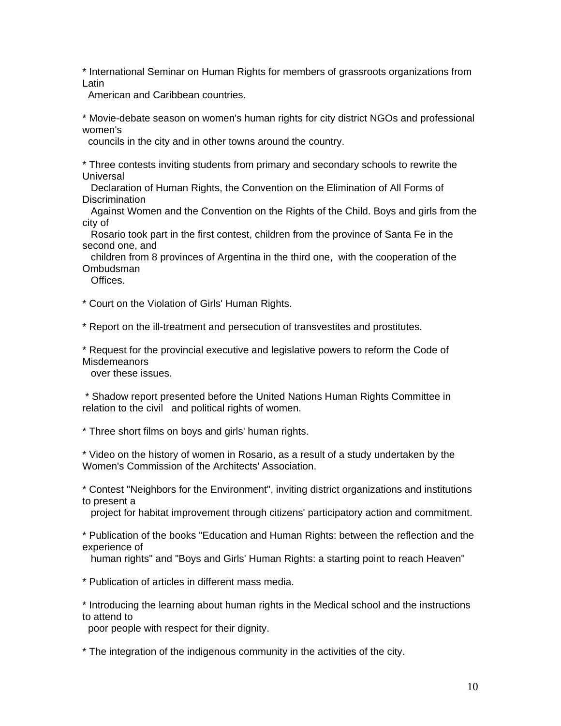\* International Seminar on Human Rights for members of grassroots organizations from Latin

American and Caribbean countries.

\* Movie-debate season on women's human rights for city district NGOs and professional women's

councils in the city and in other towns around the country.

\* Three contests inviting students from primary and secondary schools to rewrite the **Universal** 

 Declaration of Human Rights, the Convention on the Elimination of All Forms of **Discrimination** 

 Against Women and the Convention on the Rights of the Child. Boys and girls from the city of

 Rosario took part in the first contest, children from the province of Santa Fe in the second one, and

 children from 8 provinces of Argentina in the third one, with the cooperation of the Ombudsman

Offices.

\* Court on the Violation of Girls' Human Rights.

\* Report on the ill-treatment and persecution of transvestites and prostitutes.

\* Request for the provincial executive and legislative powers to reform the Code of Misdemeanors

over these issues.

 \* Shadow report presented before the United Nations Human Rights Committee in relation to the civil and political rights of women.

\* Three short films on boys and girls' human rights.

\* Video on the history of women in Rosario, as a result of a study undertaken by the Women's Commission of the Architects' Association.

\* Contest "Neighbors for the Environment", inviting district organizations and institutions to present a

project for habitat improvement through citizens' participatory action and commitment.

\* Publication of the books "Education and Human Rights: between the reflection and the experience of

human rights" and "Boys and Girls' Human Rights: a starting point to reach Heaven"

\* Publication of articles in different mass media.

\* Introducing the learning about human rights in the Medical school and the instructions to attend to

poor people with respect for their dignity.

\* The integration of the indigenous community in the activities of the city.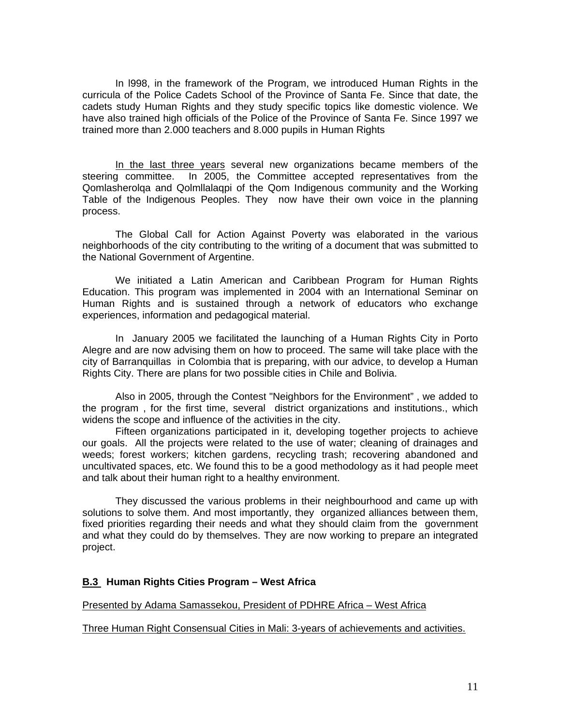In l998, in the framework of the Program, we introduced Human Rights in the curricula of the Police Cadets School of the Province of Santa Fe. Since that date, the cadets study Human Rights and they study specific topics like domestic violence. We have also trained high officials of the Police of the Province of Santa Fe. Since 1997 we trained more than 2.000 teachers and 8.000 pupils in Human Rights

 In the last three years several new organizations became members of the steering committee. In 2005, the Committee accepted representatives from the Qomlasherolqa and Qolmllalaqpi of the Qom Indigenous community and the Working Table of the Indigenous Peoples. They now have their own voice in the planning process.

 The Global Call for Action Against Poverty was elaborated in the various neighborhoods of the city contributing to the writing of a document that was submitted to the National Government of Argentine.

 We initiated a Latin American and Caribbean Program for Human Rights Education. This program was implemented in 2004 with an International Seminar on Human Rights and is sustained through a network of educators who exchange experiences, information and pedagogical material.

 In January 2005 we facilitated the launching of a Human Rights City in Porto Alegre and are now advising them on how to proceed. The same will take place with the city of Barranquillas in Colombia that is preparing, with our advice, to develop a Human Rights City. There are plans for two possible cities in Chile and Bolivia.

 Also in 2005, through the Contest "Neighbors for the Environment" , we added to the program , for the first time, several district organizations and institutions., which widens the scope and influence of the activities in the city.

 Fifteen organizations participated in it, developing together projects to achieve our goals. All the projects were related to the use of water; cleaning of drainages and weeds; forest workers; kitchen gardens, recycling trash; recovering abandoned and uncultivated spaces, etc. We found this to be a good methodology as it had people meet and talk about their human right to a healthy environment.

 They discussed the various problems in their neighbourhood and came up with solutions to solve them. And most importantly, they organized alliances between them, fixed priorities regarding their needs and what they should claim from the government and what they could do by themselves. They are now working to prepare an integrated project.

#### **B.3 Human Rights Cities Program – West Africa**

#### Presented by Adama Samassekou, President of PDHRE Africa – West Africa

#### Three Human Right Consensual Cities in Mali: 3-years of achievements and activities.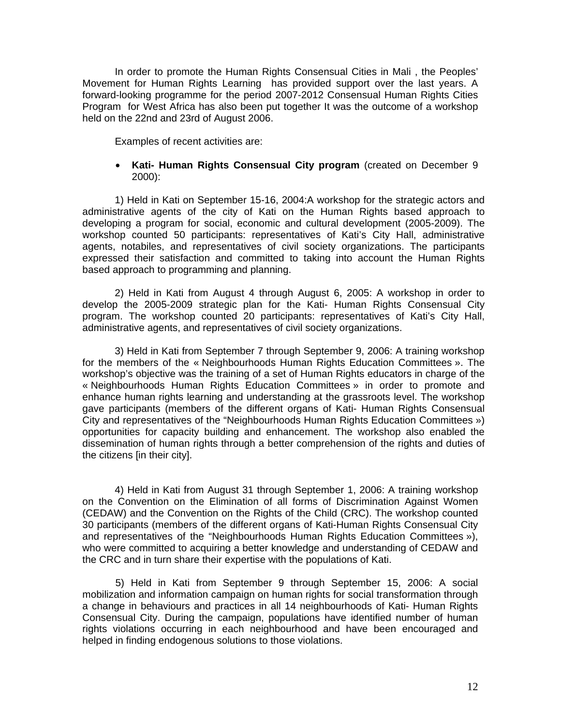In order to promote the Human Rights Consensual Cities in Mali , the Peoples' Movement for Human Rights Learning has provided support over the last years. A forward-looking programme for the period 2007-2012 Consensual Human Rights Cities Programfor West Africa has also been put together It was the outcome of a workshop held on the 22nd and 23rd of August 2006.

Examples of recent activities are:

#### • **Kati- Human Rights Consensual City program** (created on December 9 2000):

1) Held in Kati on September 15-16, 2004:A workshop for the strategic actors and administrative agents of the city of Kati on the Human Rights based approach to developing a program for social, economic and cultural development (2005-2009). The workshop counted 50 participants: representatives of Kati's City Hall, administrative agents, notabiles, and representatives of civil society organizations. The participants expressed their satisfaction and committed to taking into account the Human Rights based approach to programming and planning.

2) Held in Kati from August 4 through August 6, 2005: A workshop in order to develop the 2005-2009 strategic plan for the Kati- Human Rights Consensual City program. The workshop counted 20 participants: representatives of Kati's City Hall, administrative agents, and representatives of civil society organizations.

3) Held in Kati from September 7 through September 9, 2006: A training workshop for the members of the « Neighbourhoods Human Rights Education Committees ». The workshop's objective was the training of a set of Human Rights educators in charge of the « Neighbourhoods Human Rights Education Committees » in order to promote and enhance human rights learning and understanding at the grassroots level. The workshop gave participants (members of the different organs of Kati- Human Rights Consensual City and representatives of the "Neighbourhoods Human Rights Education Committees ») opportunities for capacity building and enhancement. The workshop also enabled the dissemination of human rights through a better comprehension of the rights and duties of the citizens [in their city].

4) Held in Kati from August 31 through September 1, 2006: A training workshop on the Convention on the Elimination of all forms of Discrimination Against Women (CEDAW) and the Convention on the Rights of the Child (CRC). The workshop counted 30 participants (members of the different organs of Kati-Human Rights Consensual City and representatives of the "Neighbourhoods Human Rights Education Committees »), who were committed to acquiring a better knowledge and understanding of CEDAW and the CRC and in turn share their expertise with the populations of Kati.

 5) Held in Kati from September 9 through September 15, 2006: A social mobilization and information campaign on human rights for social transformation through a change in behaviours and practices in all 14 neighbourhoods of Kati- Human Rights Consensual City. During the campaign, populations have identified number of human rights violations occurring in each neighbourhood and have been encouraged and helped in finding endogenous solutions to those violations.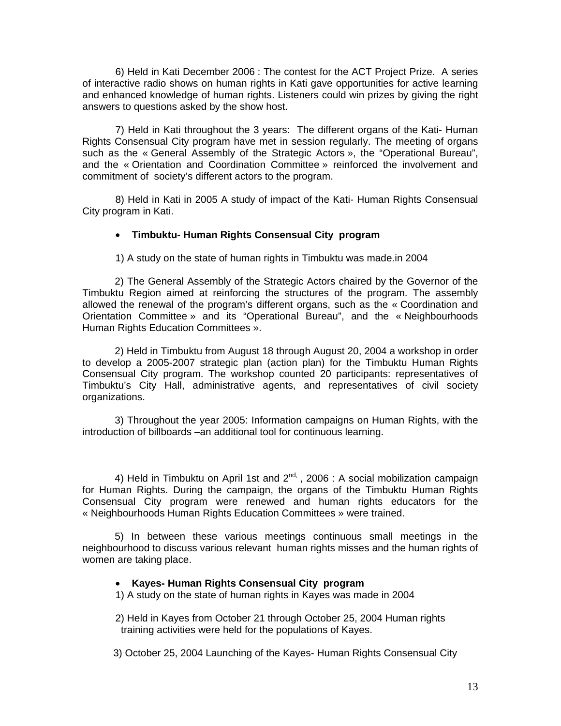6) Held in Kati December 2006 : The contest for the ACT Project Prize. A series of interactive radio shows on human rights in Kati gave opportunities for active learning and enhanced knowledge of human rights. Listeners could win prizes by giving the right answers to questions asked by the show host.

 7) Held in Kati throughout the 3 years: The different organs of the Kati- Human Rights Consensual City program have met in session regularly. The meeting of organs such as the « General Assembly of the Strategic Actors », the "Operational Bureau", and the « Orientation and Coordination Committee » reinforced the involvement and commitment of society's different actors to the program.

 8) Held in Kati in 2005 A study of impact of the Kati- Human Rights Consensual City program in Kati.

#### • **Timbuktu- Human Rights Consensual City program**

1) A study on the state of human rights in Timbuktu was made.in 2004

2) The General Assembly of the Strategic Actors chaired by the Governor of the Timbuktu Region aimed at reinforcing the structures of the program. The assembly allowed the renewal of the program's different organs, such as the « Coordination and Orientation Committee » and its "Operational Bureau", and the « Neighbourhoods Human Rights Education Committees ».

2) Held in Timbuktu from August 18 through August 20, 2004 a workshop in order to develop a 2005-2007 strategic plan (action plan) for the Timbuktu Human Rights Consensual City program. The workshop counted 20 participants: representatives of Timbuktu's City Hall, administrative agents, and representatives of civil society organizations.

3) Throughout the year 2005: Information campaigns on Human Rights, with the introduction of billboards –an additional tool for continuous learning.

4) Held in Timbuktu on April 1st and  $2^{nd}$ , 2006 : A social mobilization campaign for Human Rights. During the campaign, the organs of the Timbuktu Human Rights Consensual City program were renewed and human rights educators for the « Neighbourhoods Human Rights Education Committees » were trained.

5) In between these various meetings continuous small meetings in the neighbourhood to discuss various relevant human rights misses and the human rights of women are taking place.

#### • **Kayes- Human Rights Consensual City program**

1) A study on the state of human rights in Kayes was made in 2004

2) Held in Kayes from October 21 through October 25, 2004 Human rights training activities were held for the populations of Kayes.

3) October 25, 2004 Launching of the Kayes- Human Rights Consensual City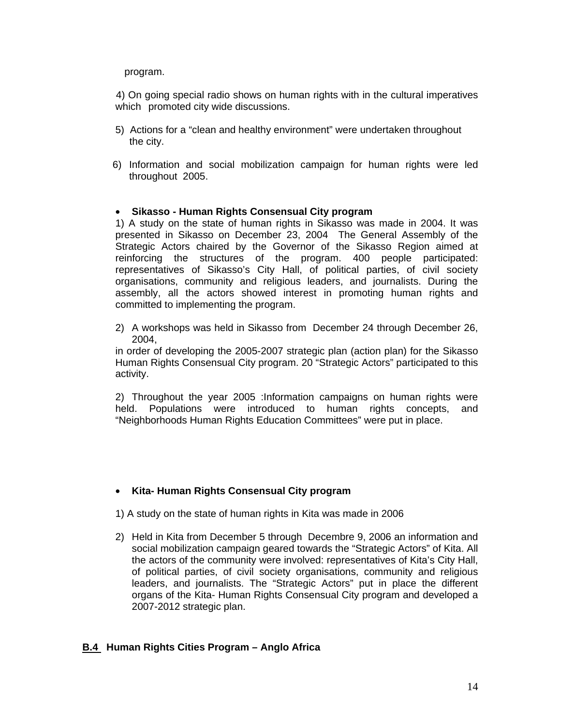program.

 4) On going special radio shows on human rights with in the cultural imperatives which promoted city wide discussions.

- 5) Actions for a "clean and healthy environment" were undertaken throughout the city.
- 6) Information and social mobilization campaign for human rights were led throughout 2005.

## • **Sikasso - Human Rights Consensual City program**

1) A study on the state of human rights in Sikasso was made in 2004. It was presented in Sikasso on December 23, 2004 The General Assembly of the Strategic Actors chaired by the Governor of the Sikasso Region aimed at reinforcing the structures of the program. 400 people participated: representatives of Sikasso's City Hall, of political parties, of civil society organisations, community and religious leaders, and journalists. During the assembly, all the actors showed interest in promoting human rights and committed to implementing the program.

2) A workshops was held in Sikasso from December 24 through December 26, 2004,

in order of developing the 2005-2007 strategic plan (action plan) for the Sikasso Human Rights Consensual City program. 20 "Strategic Actors" participated to this activity.

2) Throughout the year 2005 :Information campaigns on human rights were held. Populations were introduced to human rights concepts, and "Neighborhoods Human Rights Education Committees" were put in place.

## • **Kita- Human Rights Consensual City program**

- 1) A study on the state of human rights in Kita was made in 2006
- 2) Held in Kita from December 5 through Decembre 9, 2006 an information and social mobilization campaign geared towards the "Strategic Actors" of Kita. All the actors of the community were involved: representatives of Kita's City Hall, of political parties, of civil society organisations, community and religious leaders, and journalists. The "Strategic Actors" put in place the different organs of the Kita- Human Rights Consensual City program and developed a 2007-2012 strategic plan.

## **B.4 Human Rights Cities Program – Anglo Africa**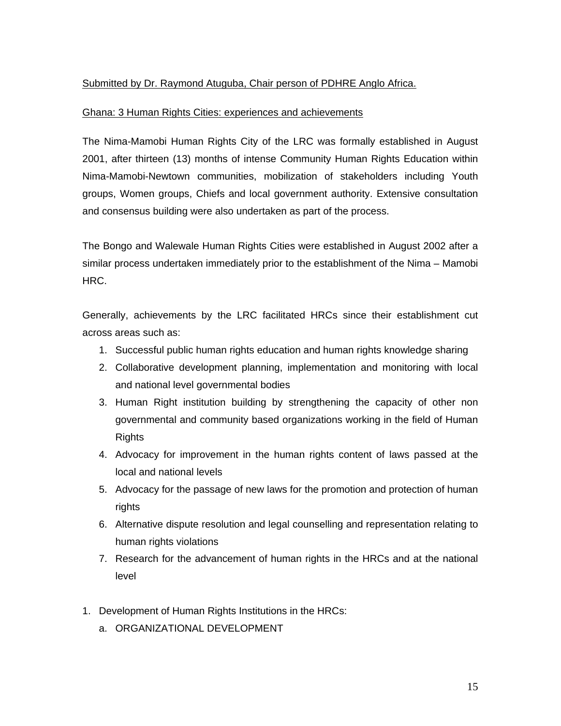## Submitted by Dr. Raymond Atuguba, Chair person of PDHRE Anglo Africa.

#### Ghana: 3 Human Rights Cities: experiences and achievements

The Nima-Mamobi Human Rights City of the LRC was formally established in August 2001, after thirteen (13) months of intense Community Human Rights Education within Nima-Mamobi-Newtown communities, mobilization of stakeholders including Youth groups, Women groups, Chiefs and local government authority. Extensive consultation and consensus building were also undertaken as part of the process.

The Bongo and Walewale Human Rights Cities were established in August 2002 after a similar process undertaken immediately prior to the establishment of the Nima – Mamobi HRC.

Generally, achievements by the LRC facilitated HRCs since their establishment cut across areas such as:

- 1. Successful public human rights education and human rights knowledge sharing
- 2. Collaborative development planning, implementation and monitoring with local and national level governmental bodies
- 3. Human Right institution building by strengthening the capacity of other non governmental and community based organizations working in the field of Human Rights
- 4. Advocacy for improvement in the human rights content of laws passed at the local and national levels
- 5. Advocacy for the passage of new laws for the promotion and protection of human rights
- 6. Alternative dispute resolution and legal counselling and representation relating to human rights violations
- 7. Research for the advancement of human rights in the HRCs and at the national level
- 1. Development of Human Rights Institutions in the HRCs:
	- a. ORGANIZATIONAL DEVELOPMENT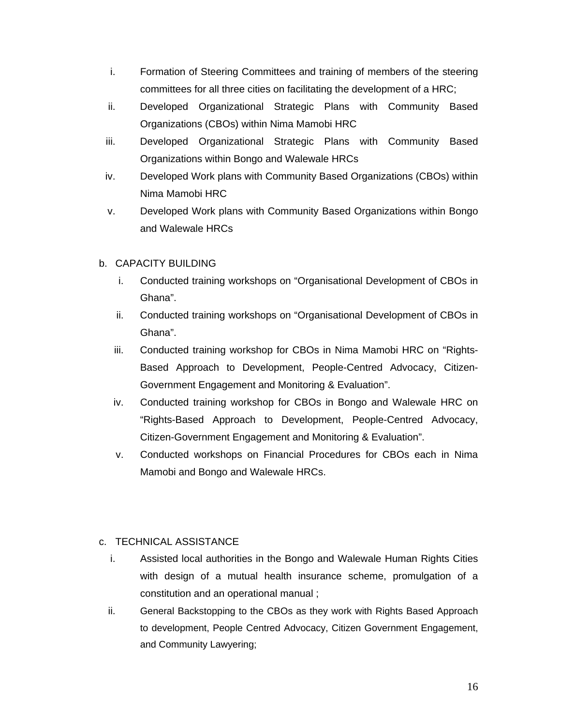- i. Formation of Steering Committees and training of members of the steering committees for all three cities on facilitating the development of a HRC;
- ii. Developed Organizational Strategic Plans with Community Based Organizations (CBOs) within Nima Mamobi HRC
- iii. Developed Organizational Strategic Plans with Community Based Organizations within Bongo and Walewale HRCs
- iv. Developed Work plans with Community Based Organizations (CBOs) within Nima Mamobi HRC
- v. Developed Work plans with Community Based Organizations within Bongo and Walewale HRCs

# b. CAPACITY BUILDING

- i. Conducted training workshops on "Organisational Development of CBOs in Ghana".
- ii. Conducted training workshops on "Organisational Development of CBOs in Ghana".
- iii. Conducted training workshop for CBOs in Nima Mamobi HRC on "Rights-Based Approach to Development, People-Centred Advocacy, Citizen-Government Engagement and Monitoring & Evaluation".
- iv. Conducted training workshop for CBOs in Bongo and Walewale HRC on "Rights-Based Approach to Development, People-Centred Advocacy, Citizen-Government Engagement and Monitoring & Evaluation".
- v. Conducted workshops on Financial Procedures for CBOs each in Nima Mamobi and Bongo and Walewale HRCs.

# c. TECHNICAL ASSISTANCE

- i. Assisted local authorities in the Bongo and Walewale Human Rights Cities with design of a mutual health insurance scheme, promulgation of a constitution and an operational manual ;
- ii. General Backstopping to the CBOs as they work with Rights Based Approach to development, People Centred Advocacy, Citizen Government Engagement, and Community Lawyering;